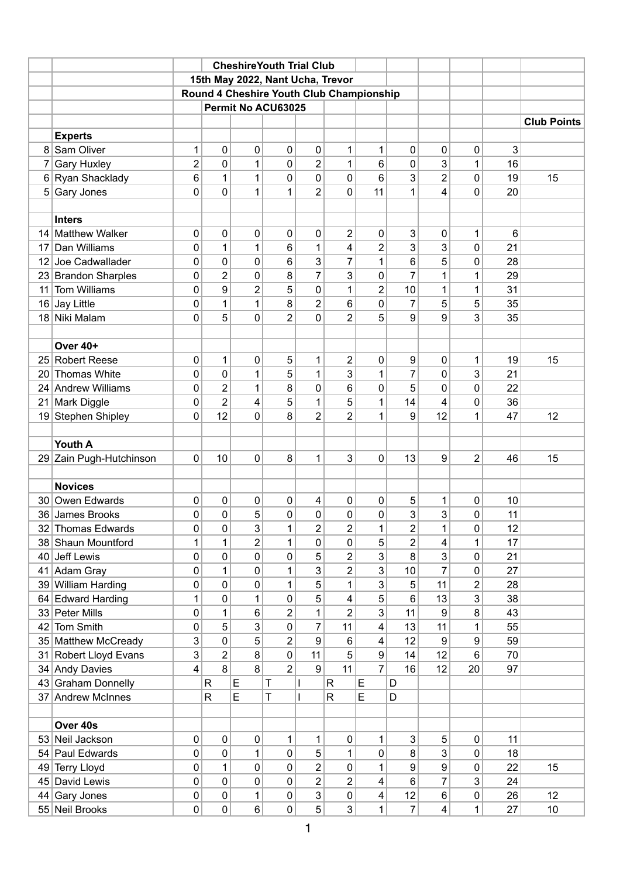|                 |                         |                |                | <b>CheshireYouth Trial Club</b>          |                     |                |                         |                  |                |                |           |    |                    |
|-----------------|-------------------------|----------------|----------------|------------------------------------------|---------------------|----------------|-------------------------|------------------|----------------|----------------|-----------|----|--------------------|
|                 |                         |                |                | 15th May 2022, Nant Ucha, Trevor         |                     |                |                         |                  |                |                |           |    |                    |
|                 |                         |                |                | Round 4 Cheshire Youth Club Championship |                     |                |                         |                  |                |                |           |    |                    |
|                 |                         |                |                | Permit No ACU63025                       |                     |                |                         |                  |                |                |           |    |                    |
|                 |                         |                |                |                                          |                     |                |                         |                  |                |                |           |    | <b>Club Points</b> |
|                 | <b>Experts</b>          |                |                |                                          |                     |                |                         |                  |                |                |           |    |                    |
|                 | 8 Sam Oliver            | 1              | 0              | 0                                        | 0                   | 0              | 1                       | 1                | 0              | 0              | 0         | 3  |                    |
| 7               | <b>Gary Huxley</b>      | 2              | 0              | $\mathbf{1}$                             | 0                   | $\overline{2}$ | 1                       | 6                | 0              | 3              | 1         | 16 |                    |
|                 | 6 Ryan Shacklady        | 6              | 1              | 1                                        | 0                   | 0              | 0                       | 6                | 3              | $\overline{2}$ | 0         | 19 | 15                 |
|                 | 5 Gary Jones            | $\mathbf 0$    | 0              | $\mathbf{1}$                             | 1                   | $\overline{2}$ | 0                       | 11               | 1              | 4              | 0         | 20 |                    |
|                 |                         |                |                |                                          |                     |                |                         |                  |                |                |           |    |                    |
|                 | <b>Inters</b>           |                |                |                                          |                     |                |                         |                  |                |                |           |    |                    |
|                 | 14 Matthew Walker       | 0              | 0              | $\mathbf 0$                              | 0                   | 0              | $\overline{2}$          | 0                | 3              | 0              | 1         | 6  |                    |
| 17              | Dan Williams            | 0              | 1              | $\mathbf{1}$                             | 6                   | 1              | $\overline{4}$          | $\overline{2}$   | 3              | 3              | 0         | 21 |                    |
|                 | 12 Joe Cadwallader      | 0              | 0              | 0                                        | 6                   | 3              | 7                       | 1                | 6              | 5              | 0         | 28 |                    |
|                 | 23 Brandon Sharples     | 0              | 2              | 0                                        | 8                   | $\overline{7}$ | 3                       | 0                | $\overline{7}$ | 1              | 1         | 29 |                    |
| 11              | <b>Tom Williams</b>     | $\pmb{0}$      | 9              | $\overline{2}$                           | 5                   | 0              | 1                       | $\overline{2}$   | 10             | 1              | 1         | 31 |                    |
|                 | 16 Jay Little           | 0              | 1              | 1                                        | 8<br>$\overline{2}$ | 2              | 6<br>$\overline{2}$     | 0                | 7              | 5              | 5         | 35 |                    |
|                 | 18 Niki Malam           | $\mathbf{0}$   | 5              | 0                                        |                     | 0              |                         | 5                | 9              | 9              | 3         | 35 |                    |
|                 | Over 40+                |                |                |                                          |                     |                |                         |                  |                |                |           |    |                    |
|                 | 25 Robert Reese         | 0              | 1              | 0                                        | 5                   | 1              |                         | 0                | 9              | 0              |           | 19 | 15                 |
| 20 <sub>1</sub> | <b>Thomas White</b>     | 0              | 0              | 1                                        | 5                   | 1              | 2<br>3                  | 1                | $\overline{7}$ | 0              | 1<br>3    | 21 |                    |
|                 | 24 Andrew Williams      | 0              | 2              | 1                                        | 8                   | 0              | 6                       | 0                | 5              | 0              | 0         | 22 |                    |
| 21              | Mark Diggle             | $\mathbf 0$    | $\overline{2}$ | 4                                        | 5                   | 1              | 5                       | 1                | 14             | 4              | 0         | 36 |                    |
|                 | 19 Stephen Shipley      | $\mathbf 0$    | 12             | 0                                        | 8                   | $\overline{2}$ | $\overline{2}$          | 1                | 9              | 12             | 1         | 47 | 12                 |
|                 |                         |                |                |                                          |                     |                |                         |                  |                |                |           |    |                    |
|                 | Youth A                 |                |                |                                          |                     |                |                         |                  |                |                |           |    |                    |
|                 | 29 Zain Pugh-Hutchinson | 0              | 10             | $\pmb{0}$                                | 8                   | 1              | 3                       | 0                | 13             | 9              | 2         | 46 | 15                 |
|                 |                         |                |                |                                          |                     |                |                         |                  |                |                |           |    |                    |
|                 | <b>Novices</b>          |                |                |                                          |                     |                |                         |                  |                |                |           |    |                    |
|                 | 30 Owen Edwards         | 0              | 0              | 0                                        | 0                   | 4              | 0                       | 0                | 5              | 1              | 0         | 10 |                    |
|                 | 36 James Brooks         | $\pmb{0}$      | $\pmb{0}$      | 5                                        | $\boldsymbol{0}$    | 0              | $\pmb{0}$               | $\pmb{0}$        | 3              | 3              | 0         | 11 |                    |
|                 | 32 Thomas Edwards       | $\mathbf 0$    | 0              | 3                                        | 1                   | $\overline{2}$ | $\overline{2}$          | 1                | 2              | $\mathbf{1}$   | 0         | 12 |                    |
|                 | 38 Shaun Mountford      | 1              | 1              | $\overline{2}$                           | $\mathbf{1}$        | 0              | 0                       | 5                | 2              | 4              | 1         | 17 |                    |
| 40              | Jeff Lewis              | $\pmb{0}$      | $\pmb{0}$      | 0                                        | 0                   | 5              | $\overline{\mathbf{c}}$ | 3                | 8              | 3              | 0         | 21 |                    |
|                 | 41 Adam Gray            | $\pmb{0}$      | 1              | $\pmb{0}$                                | $\mathbf 1$         | 3              | $\overline{2}$          | 3                | 10             | $\overline{7}$ | $\pmb{0}$ | 27 |                    |
|                 | 39 William Harding      | $\pmb{0}$      | $\pmb{0}$      | $\pmb{0}$                                | $\mathbf{1}$        | 5              | $\mathbf{1}$            | 3                | 5              | 11             | 2         | 28 |                    |
|                 | 64 Edward Harding       | 1              | $\pmb{0}$      | $\mathbf{1}$                             | 0                   | 5              | 4                       | 5                | 6              | 13             | 3         | 38 |                    |
|                 | 33 Peter Mills          | 0              | 1              | 6                                        | $\overline{2}$      | 1              | $\overline{2}$          | 3                | 11             | 9              | 8         | 43 |                    |
|                 | 42 Tom Smith            | $\mathbf 0$    | 5              | 3                                        | 0                   | $\overline{7}$ | 11                      | 4                | 13             | 11             | 1         | 55 |                    |
|                 | 35 Matthew McCready     | $\mathsf 3$    | $\pmb{0}$      | 5                                        | $\overline{2}$      | 9              | 6                       | 4                | 12             | 9              | 9         | 59 |                    |
| 31              | Robert Lloyd Evans      | $\mathfrak{B}$ | 2              | 8                                        | 0                   | 11             | 5                       | $\boldsymbol{9}$ | 14             | 12             | 6         | 70 |                    |
|                 | 34 Andy Davies          | 4              | 8              | 8                                        | $\overline{2}$      | 9              | 11                      | $\overline{7}$   | 16             | 12             | 20        | 97 |                    |
|                 | 43 Graham Donnelly      |                | $\mathsf R$    | $\mathsf E$                              | Τ                   | I              | $\mathsf R$             | E                | D              |                |           |    |                    |
|                 | 37 Andrew McInnes       |                | $\mathsf R$    | E                                        | T                   | $\mathsf{I}$   | ${\sf R}$               | E                | D              |                |           |    |                    |
|                 |                         |                |                |                                          |                     |                |                         |                  |                |                |           |    |                    |
|                 | Over 40s                |                |                |                                          |                     |                |                         |                  |                |                |           |    |                    |
|                 | 53 Neil Jackson         | $\pmb{0}$      | $\pmb{0}$      | $\pmb{0}$                                | 1                   | 1              | 0                       | 1                | 3              | 5              | 0         | 11 |                    |
| 54              | Paul Edwards            | $\mathbf 0$    | $\mathsf 0$    | $\mathbf{1}$                             | 0                   | 5              | 1                       | $\mathsf 0$      | 8              | 3              | 0         | 18 |                    |
| 49              | <b>Terry Lloyd</b>      | $\pmb{0}$      | 1              | $\pmb{0}$                                | 0                   | $\overline{2}$ | 0                       | 1                | 9              | 9              | $\pmb{0}$ | 22 | 15                 |
| 45              | David Lewis             | $\pmb{0}$      | $\pmb{0}$      | 0                                        | 0                   | $\overline{c}$ | $\overline{2}$          | 4                | 6              | 7              | 3         | 24 |                    |
|                 | 44 Gary Jones           | $\pmb{0}$      | $\pmb{0}$      | $\mathbf{1}$                             | 0                   | 3              | 0                       | 4                | 12             | 6              | $\pmb{0}$ | 26 | 12                 |
|                 | 55 Neil Brooks          | $\pmb{0}$      | $\pmb{0}$      | 6                                        | 0                   | 5 <sup>1</sup> | 3                       | 1                | $\overline{7}$ | 4              | 1         | 27 | 10                 |